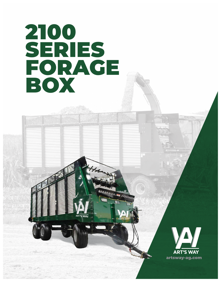# 2100 SERIES FORAGE BOX



artsway-ag.com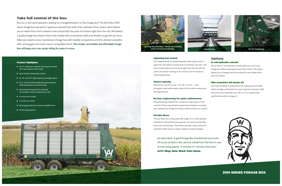2100 SERIES FORAGE BOX

## Take full control of the box.

Are you a mid-sized operation looking for a straightforward, no-fuss forage box? The Art's Way 2100 Series forage box was built to speed up unload times with a fast, hydraulic drive system which allows you to switch from front unload to rear unload with the push of a button right from the cab. We believe a quality forage box doesn't have to be loaded with unnecessary bells and whistles to get the job done. What you need is a low-maintenance forage box with durable components and the ultimate versatility with running gear and truck-mount compatible frame. **This simple, serviceable and affordable forage box will keep your cow candy rolling for years to come.** 

#### Lightning-fast unload

Our independently controlled hydraulic drive system sets us apart from the others in speed and convenience. Our rear- and front-unload options can be done right from the cab with the switch of a button clocking in at 1-minute and 4-minutes to unload respectively.

#### Robust capacity

Pick the box size fit for you — 16-, 18- or 20-ft. — with corrugated-steel sides ready to take on the acidic environment of forage harvest.

#### No-fuss engineering for easier maintenance

We've drastically reduced the number of unique parts on this machine. These streamlined components translate to a simple, low-maintenance forage box that just about anyone can service.

#### Durable floors

The box floors are constructed with tough 1/2-in. thick densilite material for reduced thermal expansion (no waves and buckles here) and minimal wear. These floors provide a slick surface for material to slide across to reduce trapped moisture buildup.

### Options

#### In-cab hydraulic controls

Our all new in-cab hydraulic controls allow you to run your forage box without leaving the seat of you tractor. This option allows you to change from front unload to rear unload with a push of a button.

#### Side extension/ 4th beater kit

You have the ability to add extensions, making your box taller which includes a 4th beater for more material movement. With extensions you could add up to 187 cu. ft. or material (See specifications sheet on page 4.)



Art said it best: "A good Forage Box should knock your socks off as you sit back in the cab and unload from the front or rear at near racing speeds. 4-minutes or 1-minute to be exact." Art's Way: How Work Gets Done.





#### Product highlights:

- $\triangleright$  One in-cab button, hydraulic drive system to switch from rear unload to front unload
- User-friendly, independent controls
- ▶ 16-, 18- and 20-ft. high-capacity box length options
- $\blacktriangleright$  1/2-in. thick and slick densilite flooring for reduced thermal expansion and minimal wear
- $\blacktriangleright$  Streamlined components for improved serviceability and lower replacement costs
- ▶ 4-minute front unload
- **1**-minute rear unload
- Running gear and truck-mount compatible frame
- ▶ 10 floor speed options